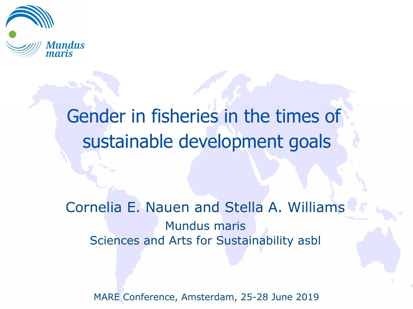

# Gender in fisheries in the times of sustainable development goals

Cornelia E. Nauen and Stella A. Williams Mundus maris Sciences and Arts for Sustainability asbl

MARE Conference, Amsterdam, 25-28 June 2019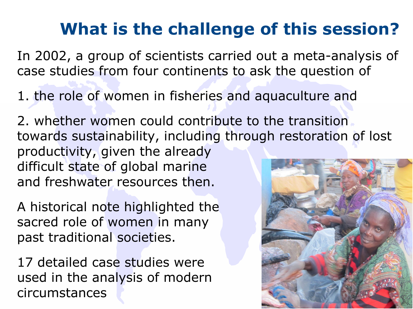## **What is the challenge of this session?**

In 2002, a group of scientists carried out a meta-analysis of case studies from four continents to ask the question of

1. the role of women in fisheries and aquaculture and

2. whether women could contribute to the transition towards sustainability, including through restoration of lost productivity, given the already difficult state of global marine and freshwater resources then.

A historical note highlighted the sacred role of women in many past traditional societies.

17 detailed case studies were used in the analysis of modern circumstances

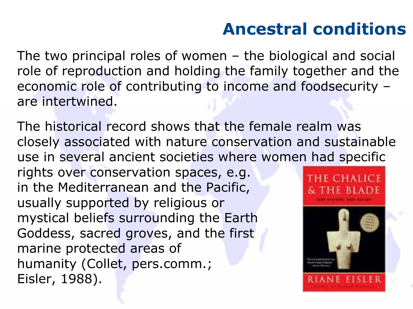### **Ancestral conditions**

The two principal roles of women – the biological and social role of reproduction and holding the family together and the economic role of contributing to income and foodsecurity – are intertwined.

The historical record shows that the female realm was closely associated with nature conservation and sustainable use in several ancient societies where women had specific rights over conservation spaces, e.g. in the Mediterranean and the Pacific, usually supported by religious or mystical beliefs surrounding the Earth Goddess, sacred groves, and the first marine protected areas of humanity (Collet, pers.comm.; Eisler, 1988).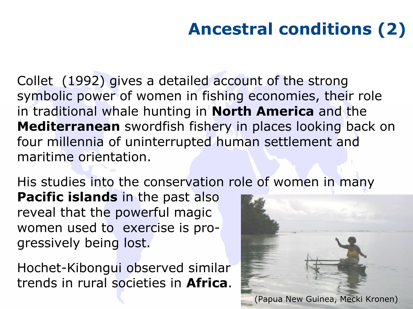# **Ancestral conditions (2)**

Collet (1992) gives a detailed account of the strong symbolic power of women in fishing economies, their role in traditional whale hunting in **North America** and the **Mediterranean** swordfish fishery in places looking back on four millennia of uninterrupted human settlement and maritime orientation.

His studies into the conservation role of women in many

**Pacific islands** in the past also reveal that the powerful magic women used to exercise is progressively being lost.

Hochet-Kibongui observed similar trends in rural societies in **Africa**.

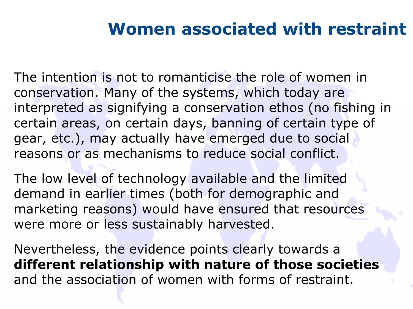#### **Women associated with restraint**

The intention is not to romanticise the role of women in conservation. Many of the systems, which today are interpreted as signifying a conservation ethos (no fishing in certain areas, on certain days, banning of certain type of gear, etc.), may actually have emerged due to social reasons or as mechanisms to reduce social conflict.

The low level of technology available and the limited demand in earlier times (both for demographic and marketing reasons) would have ensured that resources were more or less sustainably harvested.

Nevertheless, the evidence points clearly towards a **different relationship with nature of those societies** and the association of women with forms of restraint.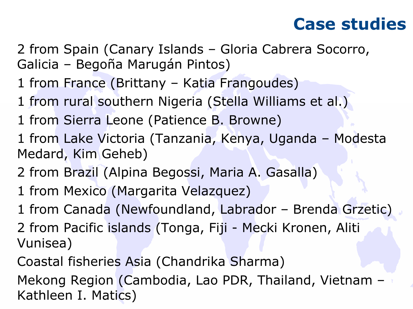#### **Case studies**

- 2 from Spain (Canary Islands Gloria Cabrera Socorro, Galicia – Begoña Marugán Pintos)
- 1 from France (Brittany Katia Frangoudes)
- 1 from rural southern Nigeria (Stella Williams et al.)
- 1 from Sierra Leone (Patience B. Browne)
- 1 from Lake Victoria (Tanzania, Kenya, Uganda Modesta Medard, Kim Geheb)
- 2 from Brazil (Alpina Begossi, Maria A. Gasalla)
- 1 from Mexico (Margarita Velazquez)
- 1 from Canada (Newfoundland, Labrador Brenda Grzetic)
- 2 from Pacific islands (Tonga, Fiji Mecki Kronen, Aliti Vunisea)
- Coastal fisheries Asia (Chandrika Sharma)
- Mekong Region (Cambodia, Lao PDR, Thailand, Vietnam Kathleen I. Matics)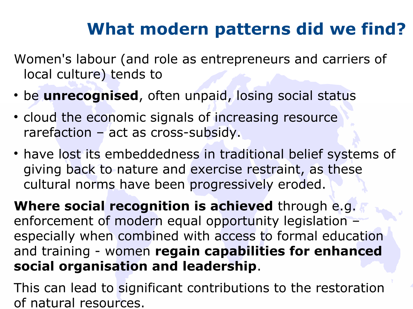### **What modern patterns did we find?**

Women's labour (and role as entrepreneurs and carriers of local culture) tends to

- be **unrecognised**, often unpaid, losing social status
- cloud the economic signals of increasing resource rarefaction – act as cross-subsidy.
- have lost its embeddedness in traditional belief systems of giving back to nature and exercise restraint, as these cultural norms have been progressively eroded.

**Where social recognition is achieved** through e.g. enforcement of modern equal opportunity legislation – especially when combined with access to formal education and training - women **regain capabilities for enhanced social organisation and leadership**.

This can lead to significant contributions to the restoration of natural resources.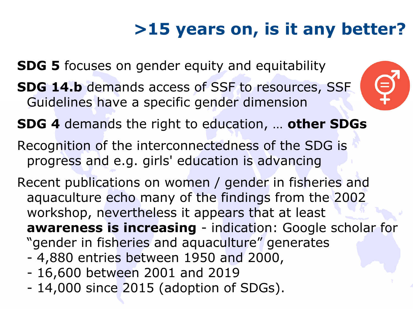# **>15 years on, is it any better?**

**SDG 5** focuses on gender equity and equitability

- **SDG 14.b** demands access of SSF to resources, SSF Guidelines have a specific gender dimension
- **SDG 4** demands the right to education, … **other SDGs**
- Recognition of the interconnectedness of the SDG is progress and e.g. girls' education is advancing
- Recent publications on women / gender in fisheries and aquaculture echo many of the findings from the 2002 workshop, nevertheless it appears that at least **awareness is increasing** - indication: Google scholar for "gender in fisheries and aquaculture" generates
	- 4,880 entries between 1950 and 2000,
	- 16,600 between 2001 and 2019
	- 14,000 since 2015 (adoption of SDGs).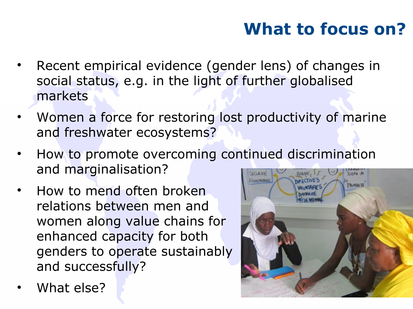### **What to focus on?**

- Recent empirical evidence (gender lens) of changes in social status, e.g. in the light of further globalised markets
- Women a force for restoring lost productivity of marine and freshwater ecosystems?
- How to promote overcoming continued discrimination and marginalisation? SECURITY  $ToN$ <sub>de</sub>
- How to mend often broken relations between men and women along value chains for enhanced capacity for both genders to operate sustainably and successfully?
- What else?